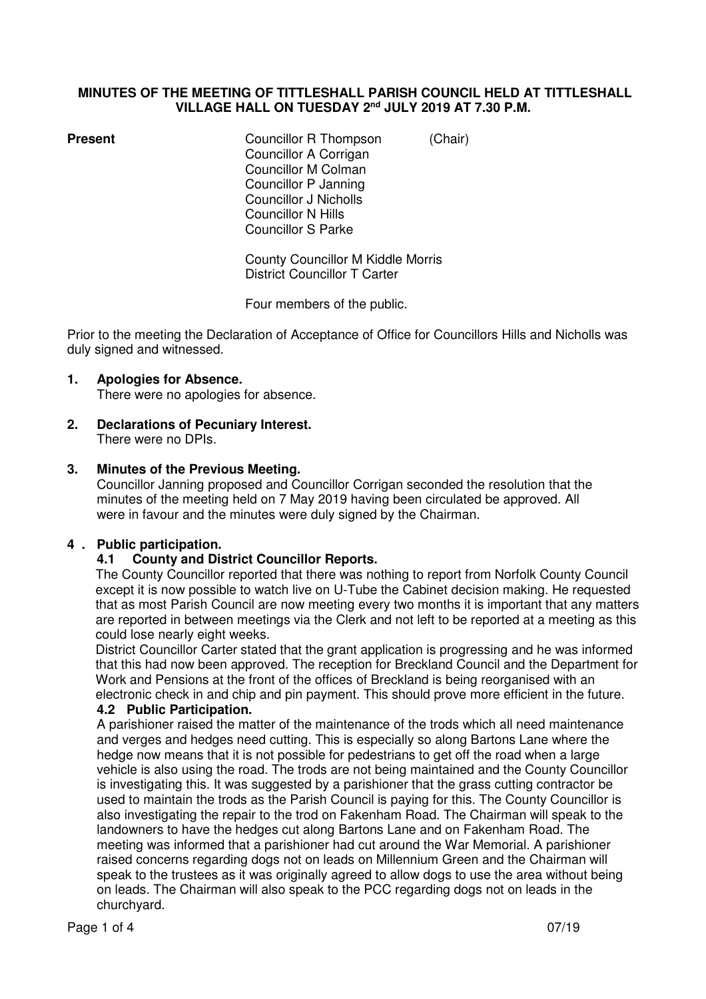#### **MINUTES OF THE MEETING OF TITTLESHALL PARISH COUNCIL HELD AT TITTLESHALL VILLAGE HALL ON TUESDAY 2nd JULY 2019 AT 7.30 P.M.**

**Present Councillor R Thompson** *(Chair)*  Councillor A Corrigan Councillor M Colman Councillor P Janning Councillor J Nicholls Councillor N Hills Councillor S Parke

> County Councillor M Kiddle Morris District Councillor T Carter

Four members of the public.

Prior to the meeting the Declaration of Acceptance of Office for Councillors Hills and Nicholls was duly signed and witnessed.

# **1. Apologies for Absence.**

There were no apologies for absence.

**2. Declarations of Pecuniary Interest.**  There were no DPIs.

# **3. Minutes of the Previous Meeting.**

Councillor Janning proposed and Councillor Corrigan seconded the resolution that the minutes of the meeting held on 7 May 2019 having been circulated be approved. All were in favour and the minutes were duly signed by the Chairman.

# **4 . Public participation.**

#### **4.1 County and District Councillor Reports.**

 The County Councillor reported that there was nothing to report from Norfolk County Council except it is now possible to watch live on U-Tube the Cabinet decision making. He requested that as most Parish Council are now meeting every two months it is important that any matters are reported in between meetings via the Clerk and not left to be reported at a meeting as this could lose nearly eight weeks.

 District Councillor Carter stated that the grant application is progressing and he was informed that this had now been approved. The reception for Breckland Council and the Department for Work and Pensions at the front of the offices of Breckland is being reorganised with an electronic check in and chip and pin payment. This should prove more efficient in the future. **4.2 Public Participation.** 

A parishioner raised the matter of the maintenance of the trods which all need maintenance and verges and hedges need cutting. This is especially so along Bartons Lane where the hedge now means that it is not possible for pedestrians to get off the road when a large vehicle is also using the road. The trods are not being maintained and the County Councillor is investigating this. It was suggested by a parishioner that the grass cutting contractor be used to maintain the trods as the Parish Council is paying for this. The County Councillor is also investigating the repair to the trod on Fakenham Road. The Chairman will speak to the landowners to have the hedges cut along Bartons Lane and on Fakenham Road. The meeting was informed that a parishioner had cut around the War Memorial. A parishioner raised concerns regarding dogs not on leads on Millennium Green and the Chairman will speak to the trustees as it was originally agreed to allow dogs to use the area without being on leads. The Chairman will also speak to the PCC regarding dogs not on leads in the churchyard.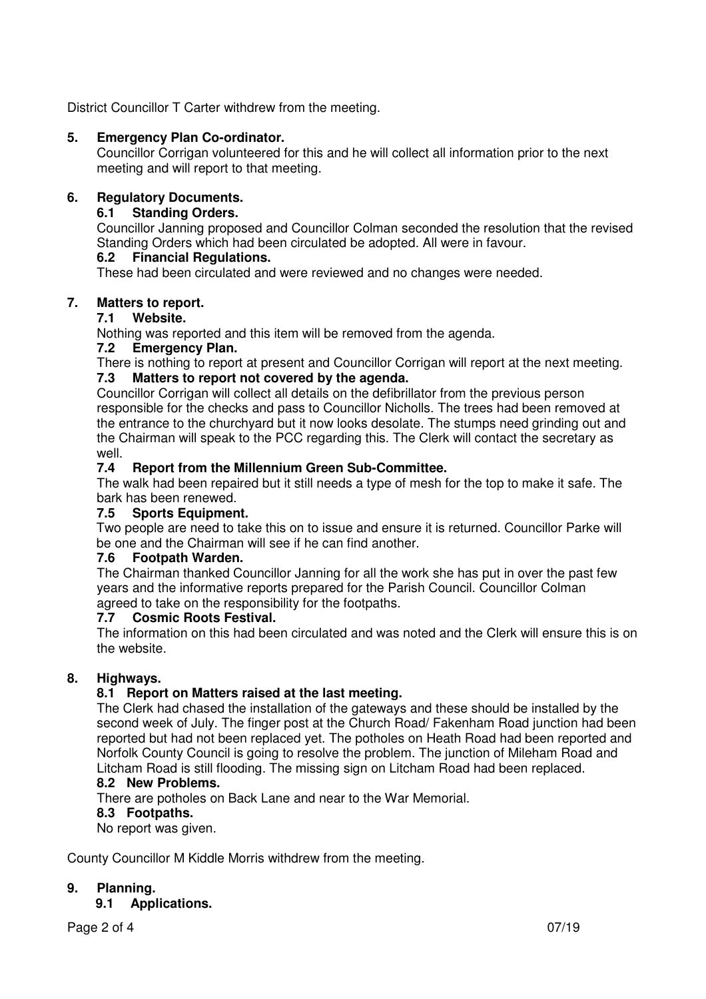District Councillor T Carter withdrew from the meeting.

# **5. Emergency Plan Co-ordinator.**

Councillor Corrigan volunteered for this and he will collect all information prior to the next meeting and will report to that meeting.

# **6. Regulatory Documents.**

# **6.1 Standing Orders.**

Councillor Janning proposed and Councillor Colman seconded the resolution that the revised Standing Orders which had been circulated be adopted. All were in favour.

# **6.2 Financial Regulations.**

These had been circulated and were reviewed and no changes were needed.

# **7. Matters to report.**

# **7.1 Website.**

Nothing was reported and this item will be removed from the agenda.

#### **7.2 Emergency Plan.**

There is nothing to report at present and Councillor Corrigan will report at the next meeting. **7.3 Matters to report not covered by the agenda.** 

#### Councillor Corrigan will collect all details on the defibrillator from the previous person responsible for the checks and pass to Councillor Nicholls. The trees had been removed at the entrance to the churchyard but it now looks desolate. The stumps need grinding out and the Chairman will speak to the PCC regarding this. The Clerk will contact the secretary as well.

# **7.4 Report from the Millennium Green Sub-Committee.**

The walk had been repaired but it still needs a type of mesh for the top to make it safe. The bark has been renewed.

#### **7.5 Sports Equipment.**

Two people are need to take this on to issue and ensure it is returned. Councillor Parke will be one and the Chairman will see if he can find another.

#### **7.6 Footpath Warden.**

The Chairman thanked Councillor Janning for all the work she has put in over the past few years and the informative reports prepared for the Parish Council. Councillor Colman agreed to take on the responsibility for the footpaths.<br>7.7 Cosmic Roots Festival.

#### **7.7 Cosmic Roots Festival.**

The information on this had been circulated and was noted and the Clerk will ensure this is on the website.

# **8. Highways.**

# **8.1 Report on Matters raised at the last meeting.**

The Clerk had chased the installation of the gateways and these should be installed by the second week of July. The finger post at the Church Road/ Fakenham Road junction had been reported but had not been replaced yet. The potholes on Heath Road had been reported and Norfolk County Council is going to resolve the problem. The junction of Mileham Road and Litcham Road is still flooding. The missing sign on Litcham Road had been replaced.

#### **8.2 New Problems.**

There are potholes on Back Lane and near to the War Memorial.

#### **8.3 Footpaths.**

No report was given.

County Councillor M Kiddle Morris withdrew from the meeting.

#### **9. Planning.**

 **9.1 Applications.**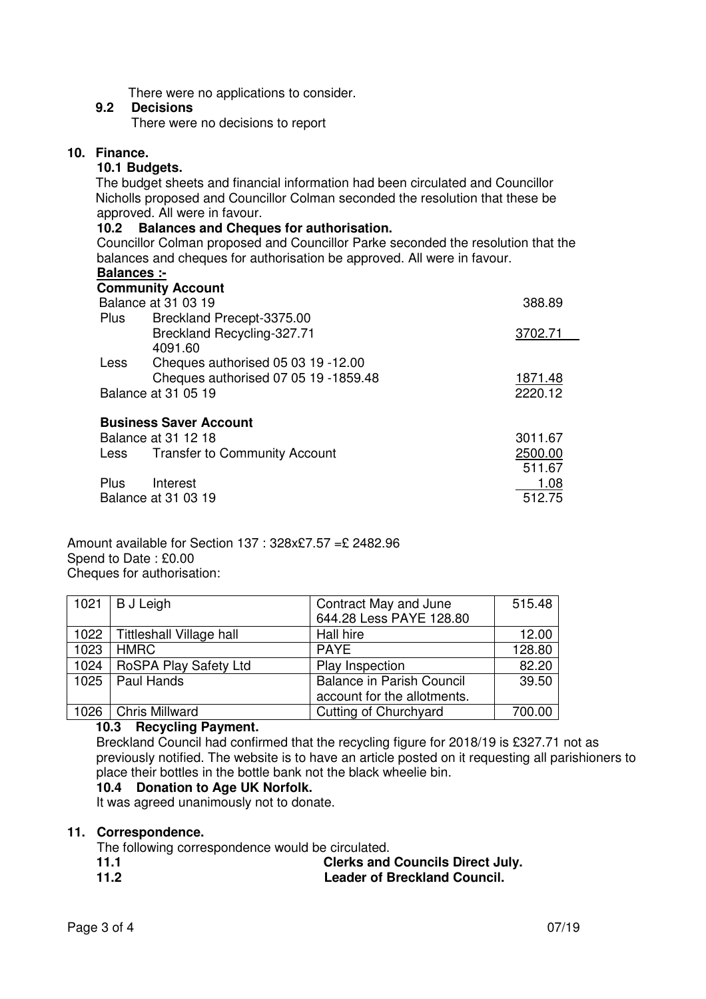There were no applications to consider.

#### **9.2 Decisions**

There were no decisions to report

# **10. Finance.**

#### **10.1 Budgets.**

The budget sheets and financial information had been circulated and Councillor Nicholls proposed and Councillor Colman seconded the resolution that these be approved. All were in favour.

#### **10.2 Balances and Cheques for authorisation.**

Councillor Colman proposed and Councillor Parke seconded the resolution that the balances and cheques for authorisation be approved. All were in favour.

# **Balances :-**

|                     | <b>Community Account</b>             |         |
|---------------------|--------------------------------------|---------|
| Balance at 31 03 19 | 388.89                               |         |
| Plus                | Breckland Precept-3375.00            |         |
|                     | Breckland Recycling-327.71           | 3702.71 |
|                     | 4091.60                              |         |
| Less                | Cheques authorised 05 03 19 -12.00   |         |
|                     | Cheques authorised 07 05 19 -1859.48 | 1871.48 |
| Balance at 31 05 19 |                                      | 2220.12 |
|                     | <b>Business Saver Account</b>        |         |
|                     | Balance at 31 12 18                  | 3011.67 |
|                     | Less Transfer to Community Account   | 2500.00 |
|                     |                                      | 511.67  |
| <b>Plus</b>         | Interest                             | 1.08    |
|                     | <b>Balance at 31 03 19</b>           | 512.75  |

Amount available for Section 137 : 328x£7.57 =£ 2482.96 Spend to Date : £0.00 Cheques for authorisation:

|      | $1021$ B J Leigh         | Contract May and June<br>644.28 Less PAYE 128.80 | 515.48 |
|------|--------------------------|--------------------------------------------------|--------|
| 1022 | Tittleshall Village hall | Hall hire                                        | 12.00  |
| 1023 | <b>HMRC</b>              | <b>PAYE</b>                                      | 128.80 |
| 1024 | RoSPA Play Safety Ltd    | Play Inspection                                  | 82.20  |
| 1025 | Paul Hands               | <b>Balance in Parish Council</b>                 | 39.50  |
|      |                          | account for the allotments.                      |        |
|      | 1026   Chris Millward    | Cutting of Churchyard                            | 700.00 |

#### **10.3 Recycling Payment.**

Breckland Council had confirmed that the recycling figure for 2018/19 is £327.71 not as previously notified. The website is to have an article posted on it requesting all parishioners to place their bottles in the bottle bank not the black wheelie bin.

# **10.4 Donation to Age UK Norfolk.**

It was agreed unanimously not to donate.

#### **11. Correspondence.**

The following correspondence would be circulated.

- **11.1** Clerks and Councils Direct July.<br> **11.2** Leader of Breckland Council.
- **Leader of Breckland Council.**